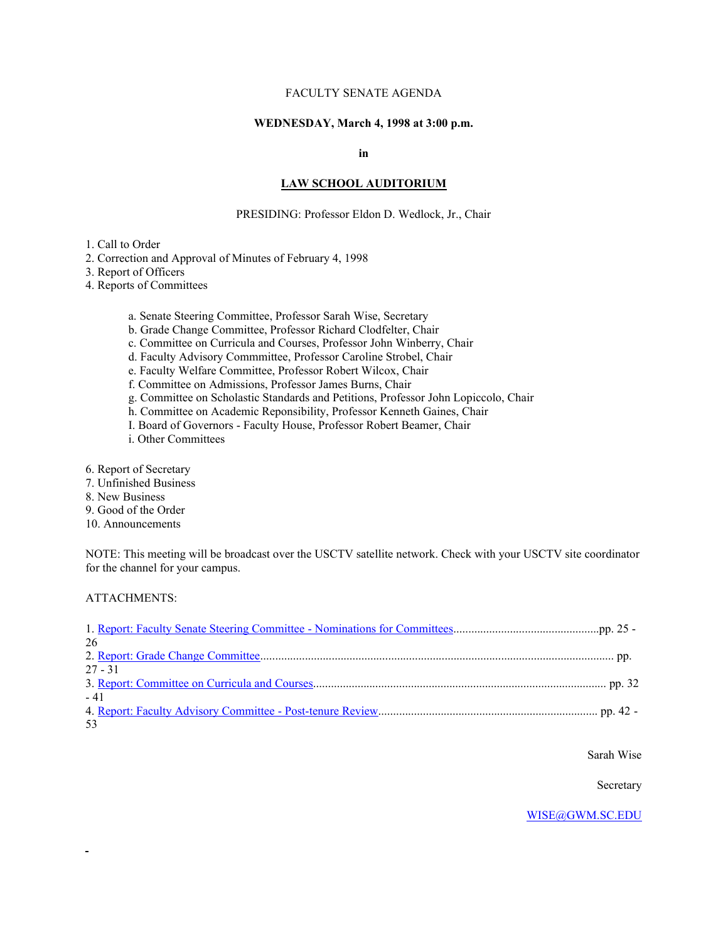# FACULTY SENATE AGENDA

### **WEDNESDAY, March 4, 1998 at 3:00 p.m.**

#### **in**

### **LAW SCHOOL AUDITORIUM**

#### PRESIDING: Professor Eldon D. Wedlock, Jr., Chair

1. Call to Order

2. Correction and Approval of Minutes of February 4, 1998

3. Report of Officers

4. Reports of Committees

a. Senate Steering Committee, Professor Sarah Wise, Secretary

b. Grade Change Committee, Professor Richard Clodfelter, Chair

c. Committee on Curricula and Courses, Professor John Winberry, Chair

d. Faculty Advisory Commmittee, Professor Caroline Strobel, Chair

e. Faculty Welfare Committee, Professor Robert Wilcox, Chair

f. Committee on Admissions, Professor James Burns, Chair

g. Committee on Scholastic Standards and Petitions, Professor John Lopiccolo, Chair

h. Committee on Academic Reponsibility, Professor Kenneth Gaines, Chair

I. Board of Governors - Faculty House, Professor Robert Beamer, Chair

i. Other Committees

6. Report of Secretary

7. Unfinished Business

8. New Business

9. Good of the Order

10. Announcements

NOTE: This meeting will be broadcast over the USCTV satellite network. Check with your USCTV site coordinator for the channel for your campus.

ATTACHMENTS:

| 26        |  |
|-----------|--|
|           |  |
| $27 - 31$ |  |
|           |  |
| $-41$     |  |
|           |  |
| 53        |  |

Sarah Wise

Secretary

[WISE@GWM.SC.EDU](mailto:WISE@GWM.SC.EDU)